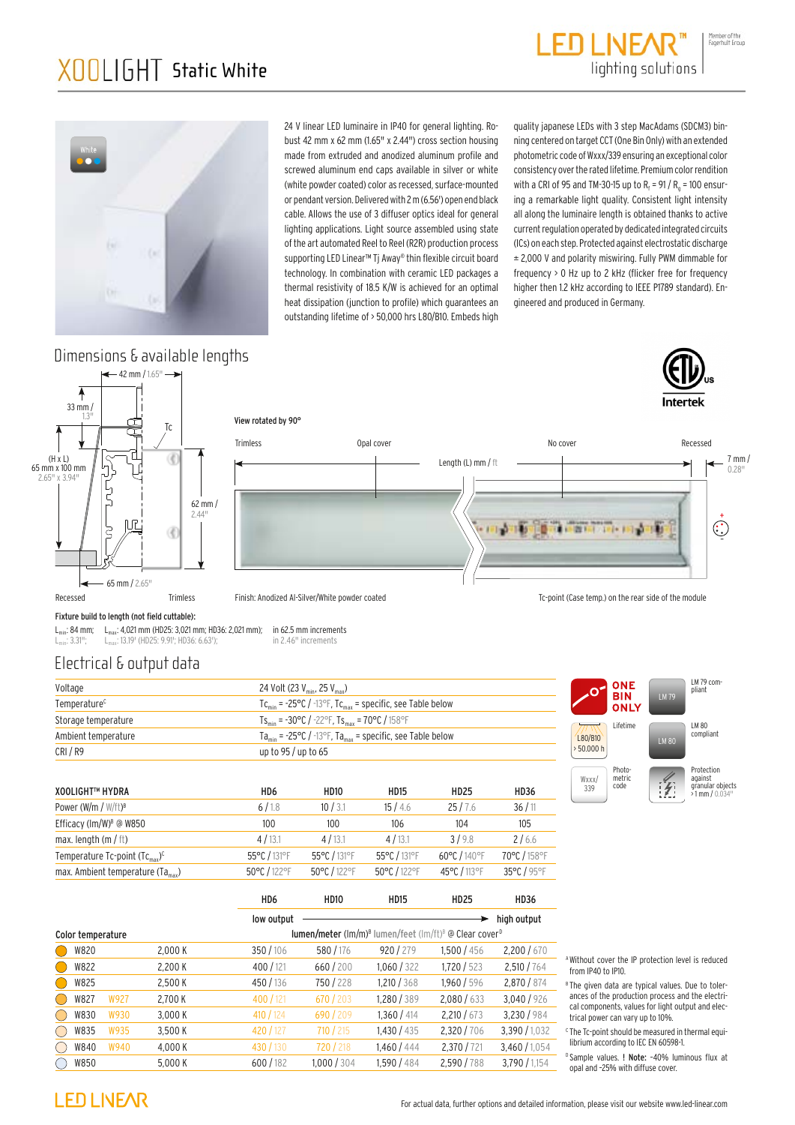## XOOLIGHT™ HYDRA WHITE IP40A<br>XOOLIGHT™ HYDRA WHITE IP40A<br>XOOLIGHT™ HYDRA WHITE IP40A XOOI IGHT Static White





24 V linear LED luminaire in IP40 for general lighting. Robust 42 mm x 62 mm (1.65" x 2.44") cross section housing made from extruded and anodized aluminum profile and screwed aluminum end caps available in silver or white (white powder coated) color as recessed, surface-mounted or pendant version. Delivered with 2m (6.56') open end black cable. Allows the use of 3 diffuser optics ideal for general lighting applications. Light source assembled using state of the art automated Reel to Reel (R2R) production process supporting LED Linear™ Tj Away® thin flexible circuit board technology. In combination with ceramic LED packages a thermal resistivity of 18.5 K/W is achieved for an optimal heat dissipation (junction to profile) which guarantees an outstanding lifetime of > 50,000 hrs L80/B10. Embeds high

quality japanese LEDs with 3 step MacAdams (SDCM3) binning centered on target CCT (One Bin Only) with an extended photometric code of Wxxx/339 ensuring an exceptional color consistency over the rated lifetime. Premium color rendition with a CRI of 95 and TM-30-15 up to  $R_f$  = 91 /  $R_a$  = 100 ensuring a remarkable light quality. Consistent light intensity all along the luminaire length is obtained thanks to active current regulation operated by dedicated integrated circuits (ICs) on each step. Protected against electrostatic discharge ± 2,000 V and polarity miswiring. Fully PWM dimmable for frequency > 0 Hz up to 2 kHz (flicker free for frequency higher then 1.2 kHz according to IEEE P1789 standard). Engineered and produced in Germany.

#### Dimensions & available lengths

 $-42$  mm /  $1.65$ " -





View rotated by 90°



Fixture build to length (not field cuttable):

 $L_{min}$ : 84 mm;  $L_{max}$ : 4,021 mm (HD25: 3,021 mm; HD36: 2,021 mm); in 62.5 mm increments<br> $L_{min}$ : 3.31<sup>th</sup>;  $L_{max}$ : 13.19' (HD25: 9.91'; HD36: 6.63'); in 2.46" increments  $L_{\text{max}}$ : 13.19' (HD25: 9.91'; HD36: 6.63');

### Electrical & output data

| Voltage                  | 24 Volt (23 $V_{\text{min}}$ , 25 $V_{\text{max}}$ )                                             |
|--------------------------|--------------------------------------------------------------------------------------------------|
| Temperature <sup>c</sup> | $TC_{\text{min}}$ = -25°C / -13°F, $TC_{\text{max}}$ = specific, see Table below                 |
| Storage temperature      | $TS_{\text{min}} = -30^{\circ}C / -22^{\circ}F$ , $TS_{\text{max}} = 70^{\circ}C / 158^{\circ}F$ |
| Ambient temperature      | $Ta_{\text{min}}$ = -25°C / -13°F, Ta <sub>max</sub> = specific, see Table below                 |
| CRI/R9                   | up to 95 / up to 65                                                                              |

| <b>XOOLIGHT™ HYDRA</b>                    | HD6          | <b>HD10</b>  | <b>HD15</b>  | <b>HD25</b>  | <b>HD36</b>  |
|-------------------------------------------|--------------|--------------|--------------|--------------|--------------|
| Power (W/m / $W/\text{ft}$ ) <sup>B</sup> | 6/1.8        | 10/3.1       | 15/4.6       | 25/7.6       | 36/11        |
| Efficacy (lm/W) <sup>8</sup> @ W850       | 100          | 100          | 106          | 104          | 105          |
| max. length $(m / ft)$                    | 4/13.1       | 4/13.1       | 4/13.1       | 3/9.8        | 2/6.6        |
| Temperature Tc-point $(Tc_{max})^c$       | 55°C / 131°F | 55°C / 131°F | 55°C / 131°F | 60°C / 140°F | 70°C / 158°F |
| max. Ambient temperature $(Ta_{max})$     | 50°C / 122°F | 50°C / 122°F | 50°C / 122°F | 45°C / 113°F | 35°C / 95°F  |

|                                                                                                                        |      |         | H <sub>D6</sub> | <b>HD10</b> | <b>HD15</b> | <b>HD25</b> | <b>HD36</b>   |
|------------------------------------------------------------------------------------------------------------------------|------|---------|-----------------|-------------|-------------|-------------|---------------|
|                                                                                                                        |      |         | low output      |             |             |             | high output   |
| <b>lumen/meter</b> (lm/m) <sup>8</sup> lumen/feet (lm/ft) <sup>8</sup> @ Clear cover <sup>D</sup><br>Color temperature |      |         |                 |             |             |             |               |
| W820                                                                                                                   |      | 2.000 K | 350/106         | 580/176     | 920 / 279   | 1.500 / 456 | 2,200/670     |
| W822                                                                                                                   |      | 2,200 K | 400/121         | 660/200     | 1,060/322   | 1,720/523   | 2,510/764     |
| W825                                                                                                                   |      | 2,500 K | 450 / 136       | 750/228     | 1,210 / 368 | 1,960 / 596 | 2.870 / 874   |
| W827                                                                                                                   | W927 | 2,700 K | 400 / 121       | 670 / 203   | 1,280 / 389 | 2,080/633   | 3,040/926     |
| W830                                                                                                                   | W930 | 3,000 K | 410 $/124$      | 690 / 209   | 1,360/414   | 2,210/673   | 3,230/984     |
| W835                                                                                                                   | W935 | 3,500 K | 420 / 127       | 710 / 215   | 1,430/435   | 2,320/706   | 3,390/1,032   |
| W840                                                                                                                   | W940 | 4,000 K | 430 / 130       | 720 / 218   | 1.460/444   | 2,370/721   | 3,460/1,054   |
| W850                                                                                                                   |      | 5,000 K | 600/182         | 1,000/304   | 1,590 / 484 | 2,590/788   | 3,790 / 1,154 |





AWithout cover the IP protection level is reduced from IP40 to IP10.

<sup>8</sup> The given data are typical values. Due to tolerances of the production process and the electrical components, values for light output and electrical power can vary up to 10%.

<sup>c</sup> The Tc-point should be measured in thermal equilibrium according to IEC EN 60598-1.

D Sample values. ! Note: -40% luminous flux at opal and –25% with diffuse cover.

#### **LED LIVEAR**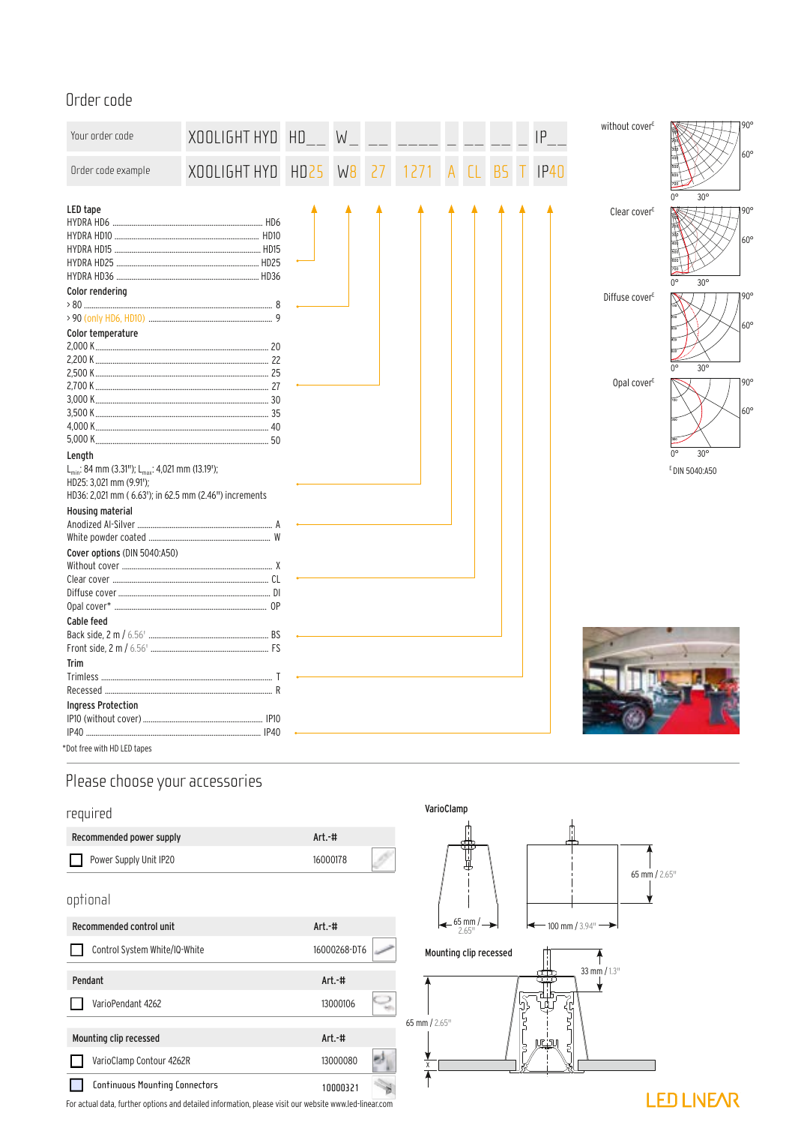## Order code

| Your order code                                                                                                                                                       | XOOLIGHT HYD | HD          | W              |    |  |  | P | without cover <sup>E</sup> | $90^\circ$                                           |
|-----------------------------------------------------------------------------------------------------------------------------------------------------------------------|--------------|-------------|----------------|----|--|--|---|----------------------------|------------------------------------------------------|
| Order code example                                                                                                                                                    | XOOLIGHT HYD | <b>HD25</b> | W <sub>8</sub> | 27 |  |  |   |                            | $60^\circ$                                           |
| LED tape                                                                                                                                                              |              |             |                |    |  |  |   | Clear cover <sup>E</sup>   | $30^\circ$<br>$90^\circ$<br>$60^\circ$<br>$30^\circ$ |
| Color rendering<br>Color temperature                                                                                                                                  |              |             |                |    |  |  |   | Diffuse cover <sup>E</sup> | $90^\circ$<br>$60^\circ$                             |
|                                                                                                                                                                       |              |             |                |    |  |  |   |                            | $30^\circ$                                           |
|                                                                                                                                                                       |              |             |                |    |  |  |   | Opal cover <sup>E</sup>    | $90^\circ$<br>$60^\circ$                             |
| Length<br>L <sub>min</sub> : 84 mm (3.31"); L <sub>max</sub> : 4,021 mm (13.19');<br>HD25: 3,021 mm (9.91');<br>HD36: 2,021 mm (6.63'); in 62.5 mm (2.46") increments |              |             |                |    |  |  |   |                            | $30^\circ$<br>E DIN 5040:A50                         |
| Housing material                                                                                                                                                      |              |             |                |    |  |  |   |                            |                                                      |
| Cover options (DIN 5040:A50)                                                                                                                                          |              |             |                |    |  |  |   |                            |                                                      |
|                                                                                                                                                                       |              |             |                |    |  |  |   |                            |                                                      |
| Cable feed                                                                                                                                                            |              |             |                |    |  |  |   |                            |                                                      |
|                                                                                                                                                                       |              |             |                |    |  |  |   |                            |                                                      |
| Trim                                                                                                                                                                  |              |             |                |    |  |  |   |                            |                                                      |
| <b>Ingress Protection</b>                                                                                                                                             |              |             |                |    |  |  |   |                            |                                                      |
|                                                                                                                                                                       |              |             |                |    |  |  |   |                            |                                                      |
| *Dot free with HD LED tapes                                                                                                                                           |              |             |                |    |  |  |   |                            |                                                      |

## Please choose your accessories